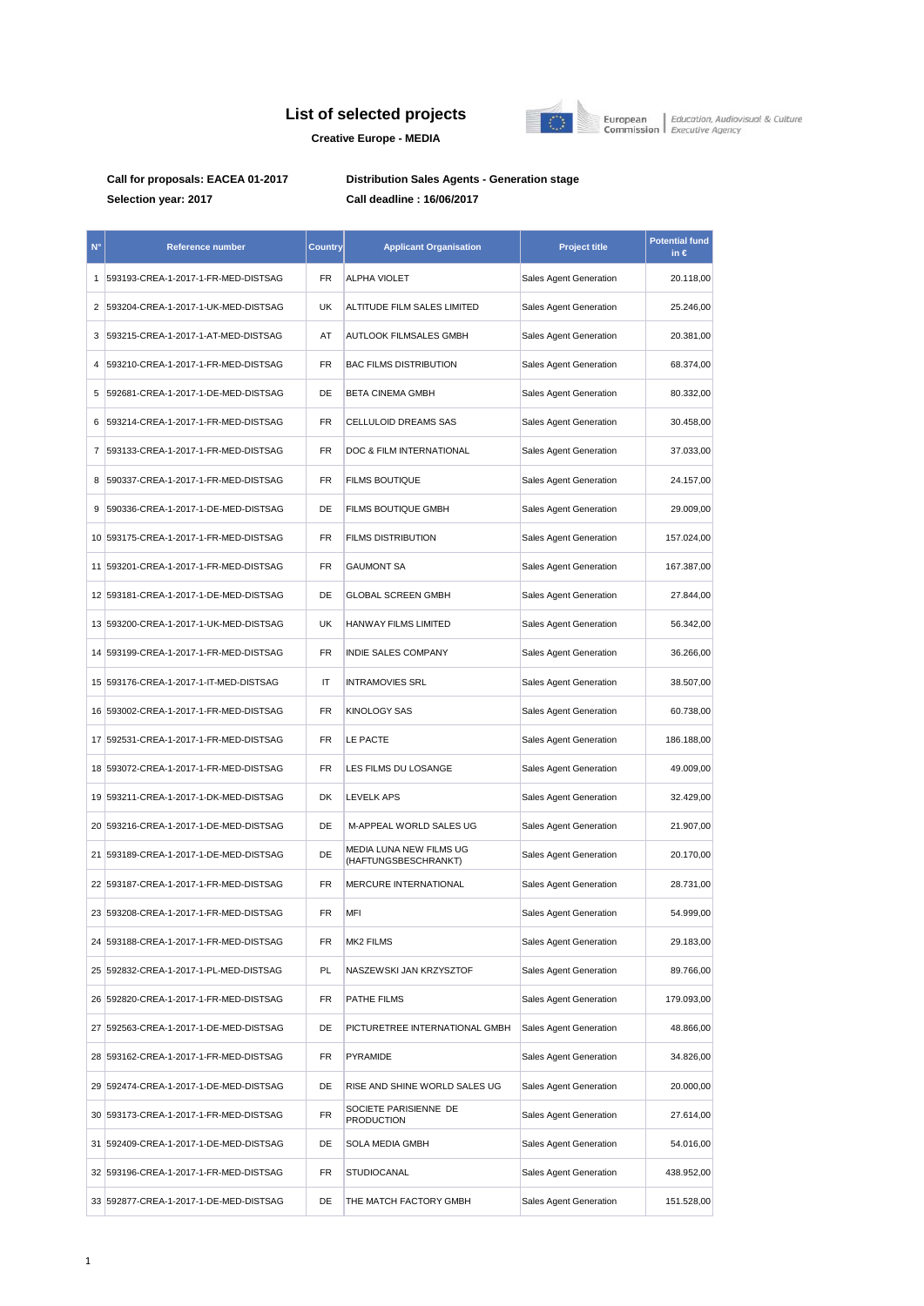## **List of selected projects Creative Europe - MEDIA**



European | Education, Audiovisual & Culture<br>Commission | Executive Agency

**Call for proposals: EACEA 01-2017 Distribution Sales Agents - Generation stage Selection year: 2017 Call deadline : 16/06/2017**

| N°              | Reference number                       | Country | <b>Applicant Organisation</b>                   | <b>Project title</b>   | <b>Potential fund</b><br>in $\epsilon$ |
|-----------------|----------------------------------------|---------|-------------------------------------------------|------------------------|----------------------------------------|
| 1               | 593193-CREA-1-2017-1-FR-MED-DISTSAG    | FR      | ALPHA VIOLET                                    | Sales Agent Generation | 20.118,00                              |
| 2               | 593204-CREA-1-2017-1-UK-MED-DISTSAG    | UK      | ALTITUDE FILM SALES LIMITED                     | Sales Agent Generation | 25.246,00                              |
| 3               | 593215-CREA-1-2017-1-AT-MED-DISTSAG    | AT      | AUTLOOK FILMSALES GMBH                          | Sales Agent Generation | 20.381,00                              |
| 4               | 593210-CREA-1-2017-1-FR-MED-DISTSAG    | FR      | <b>BAC FILMS DISTRIBUTION</b>                   | Sales Agent Generation | 68.374,00                              |
| 5               | 592681-CREA-1-2017-1-DE-MED-DISTSAG    | DE      | <b>BETA CINEMA GMBH</b>                         | Sales Agent Generation | 80.332,00                              |
| 6               | 593214-CREA-1-2017-1-FR-MED-DISTSAG    | FR      | CELLULOID DREAMS SAS                            | Sales Agent Generation | 30.458,00                              |
| 7               | 593133-CREA-1-2017-1-FR-MED-DISTSAG    | FR      | DOC & FILM INTERNATIONAL                        | Sales Agent Generation | 37.033,00                              |
| 8               | 590337-CREA-1-2017-1-FR-MED-DISTSAG    | FR      | <b>FILMS BOUTIQUE</b>                           | Sales Agent Generation | 24.157,00                              |
| 9               | 590336-CREA-1-2017-1-DE-MED-DISTSAG    | DE      | FILMS BOUTIQUE GMBH                             | Sales Agent Generation | 29.009,00                              |
|                 | 10 593175-CREA-1-2017-1-FR-MED-DISTSAG | FR      | <b>FILMS DISTRIBUTION</b>                       | Sales Agent Generation | 157.024,00                             |
| 11 <sup>1</sup> | 593201-CREA-1-2017-1-FR-MED-DISTSAG    | FR      | <b>GAUMONT SA</b>                               | Sales Agent Generation | 167.387,00                             |
|                 | 12 593181-CREA-1-2017-1-DE-MED-DISTSAG | DE      | <b>GLOBAL SCREEN GMBH</b>                       | Sales Agent Generation | 27.844,00                              |
|                 | 13 593200-CREA-1-2017-1-UK-MED-DISTSAG | UK      | HANWAY FILMS LIMITED                            | Sales Agent Generation | 56.342,00                              |
|                 | 14 593199-CREA-1-2017-1-FR-MED-DISTSAG | FR      | INDIE SALES COMPANY                             | Sales Agent Generation | 36.266,00                              |
|                 | 15 593176-CREA-1-2017-1-IT-MED-DISTSAG | ΙT      | <b>INTRAMOVIES SRL</b>                          | Sales Agent Generation | 38.507,00                              |
|                 | 16 593002-CREA-1-2017-1-FR-MED-DISTSAG | FR      | <b>KINOLOGY SAS</b>                             | Sales Agent Generation | 60.738,00                              |
|                 | 17 592531-CREA-1-2017-1-FR-MED-DISTSAG | FR      | LE PACTE                                        | Sales Agent Generation | 186.188,00                             |
|                 | 18 593072-CREA-1-2017-1-FR-MED-DISTSAG | FR      | LES FILMS DU LOSANGE                            | Sales Agent Generation | 49.009,00                              |
|                 | 19 593211-CREA-1-2017-1-DK-MED-DISTSAG | DK      | <b>LEVELK APS</b>                               | Sales Agent Generation | 32.429,00                              |
|                 | 20 593216-CREA-1-2017-1-DE-MED-DISTSAG | DE      | M-APPEAL WORLD SALES UG                         | Sales Agent Generation | 21.907,00                              |
|                 | 21 593189-CREA-1-2017-1-DE-MED-DISTSAG | DE      | MEDIA LUNA NEW FILMS UG<br>(HAFTUNGSBESCHRANKT) | Sales Agent Generation | 20.170,00                              |
|                 | 22 593187-CREA-1-2017-1-FR-MED-DISTSAG | FR      | MERCURE INTERNATIONAL                           | Sales Agent Generation | 28.731,00                              |
|                 | 23 593208-CREA-1-2017-1-FR-MED-DISTSAG | FR      | MFI                                             | Sales Agent Generation | 54.999,00                              |
|                 | 24 593188-CREA-1-2017-1-FR-MED-DISTSAG | FR      | MK2 FILMS                                       | Sales Agent Generation | 29.183,00                              |
|                 | 25 592832-CREA-1-2017-1-PL-MED-DISTSAG | PL      | NASZEWSKI JAN KRZYSZTOF                         | Sales Agent Generation | 89.766.00                              |
|                 | 26 592820-CREA-1-2017-1-FR-MED-DISTSAG | FR      | PATHE FILMS                                     | Sales Agent Generation | 179.093,00                             |
|                 | 27 592563-CREA-1-2017-1-DE-MED-DISTSAG | DE      | PICTURETREE INTERNATIONAL GMBH                  | Sales Agent Generation | 48.866,00                              |
|                 | 28 593162-CREA-1-2017-1-FR-MED-DISTSAG | FR      | PYRAMIDE                                        | Sales Agent Generation | 34.826,00                              |
|                 | 29 592474-CREA-1-2017-1-DE-MED-DISTSAG | DE      | RISE AND SHINE WORLD SALES UG                   | Sales Agent Generation | 20.000,00                              |
|                 | 30 593173-CREA-1-2017-1-FR-MED-DISTSAG | FR      | SOCIETE PARISIENNE DE<br><b>PRODUCTION</b>      | Sales Agent Generation | 27.614,00                              |
|                 | 31 592409-CREA-1-2017-1-DE-MED-DISTSAG | DE      | SOLA MEDIA GMBH                                 | Sales Agent Generation | 54.016,00                              |
|                 | 32 593196-CREA-1-2017-1-FR-MED-DISTSAG | FR      | STUDIOCANAL                                     | Sales Agent Generation | 438.952,00                             |
|                 | 33 592877-CREA-1-2017-1-DE-MED-DISTSAG | DE      | THE MATCH FACTORY GMBH                          | Sales Agent Generation | 151.528,00                             |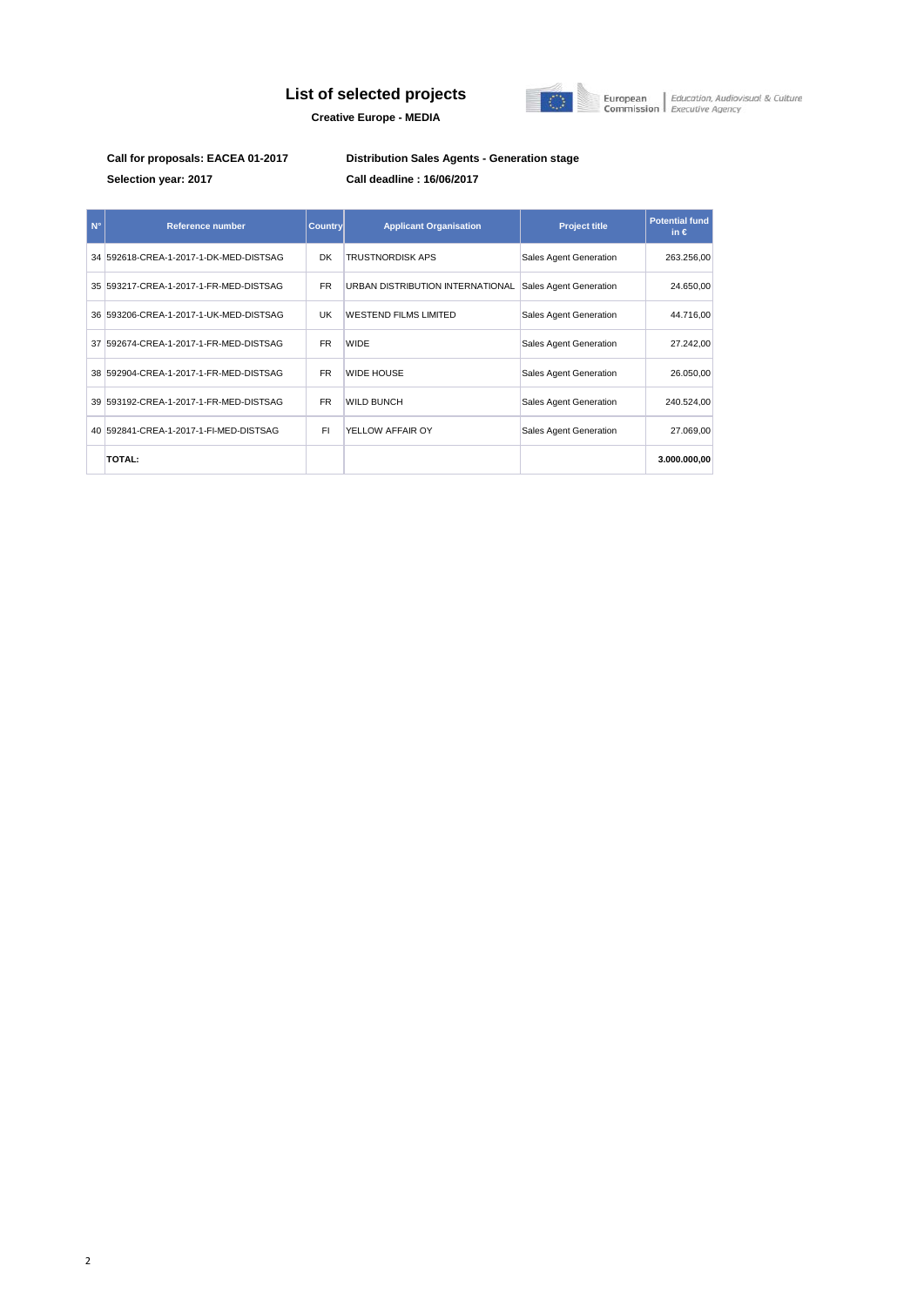## **List of selected projects**



European | Education, Audiovisual & Culture<br>Commission | Executive Agency

**Creative Europe - MEDIA**

**Selection year: 2017 Call deadline : 16/06/2017**

**Call for proposals: EACEA 01-2017 Distribution Sales Agents - Generation stage**

| $N^{\circ}$ | <b>Reference number</b>                | <b>Country</b> | <b>Applicant Organisation</b>    | <b>Project title</b>   | <b>Potential fund</b><br>in $\epsilon$ |
|-------------|----------------------------------------|----------------|----------------------------------|------------------------|----------------------------------------|
|             | 34 592618-CREA-1-2017-1-DK-MED-DISTSAG | <b>DK</b>      | <b>TRUSTNORDISK APS</b>          | Sales Agent Generation | 263.256,00                             |
|             | 35 593217-CREA-1-2017-1-FR-MED-DISTSAG | <b>FR</b>      | URBAN DISTRIBUTION INTERNATIONAL | Sales Agent Generation | 24.650,00                              |
|             | 36 593206-CREA-1-2017-1-UK-MED-DISTSAG | UK             | <b>WESTEND FILMS LIMITED</b>     | Sales Agent Generation | 44.716,00                              |
|             | 37 592674-CREA-1-2017-1-FR-MED-DISTSAG | <b>FR</b>      | <b>WIDE</b>                      | Sales Agent Generation | 27.242,00                              |
|             | 38 592904-CREA-1-2017-1-FR-MED-DISTSAG | <b>FR</b>      | <b>WIDE HOUSE</b>                | Sales Agent Generation | 26.050,00                              |
|             | 39 593192-CREA-1-2017-1-FR-MED-DISTSAG | <b>FR</b>      | <b>WILD BUNCH</b>                | Sales Agent Generation | 240.524,00                             |
|             | 40 592841-CREA-1-2017-1-FI-MED-DISTSAG | FI.            | YELLOW AFFAIR OY                 | Sales Agent Generation | 27.069,00                              |
|             | <b>TOTAL:</b>                          |                |                                  |                        | 3.000.000,00                           |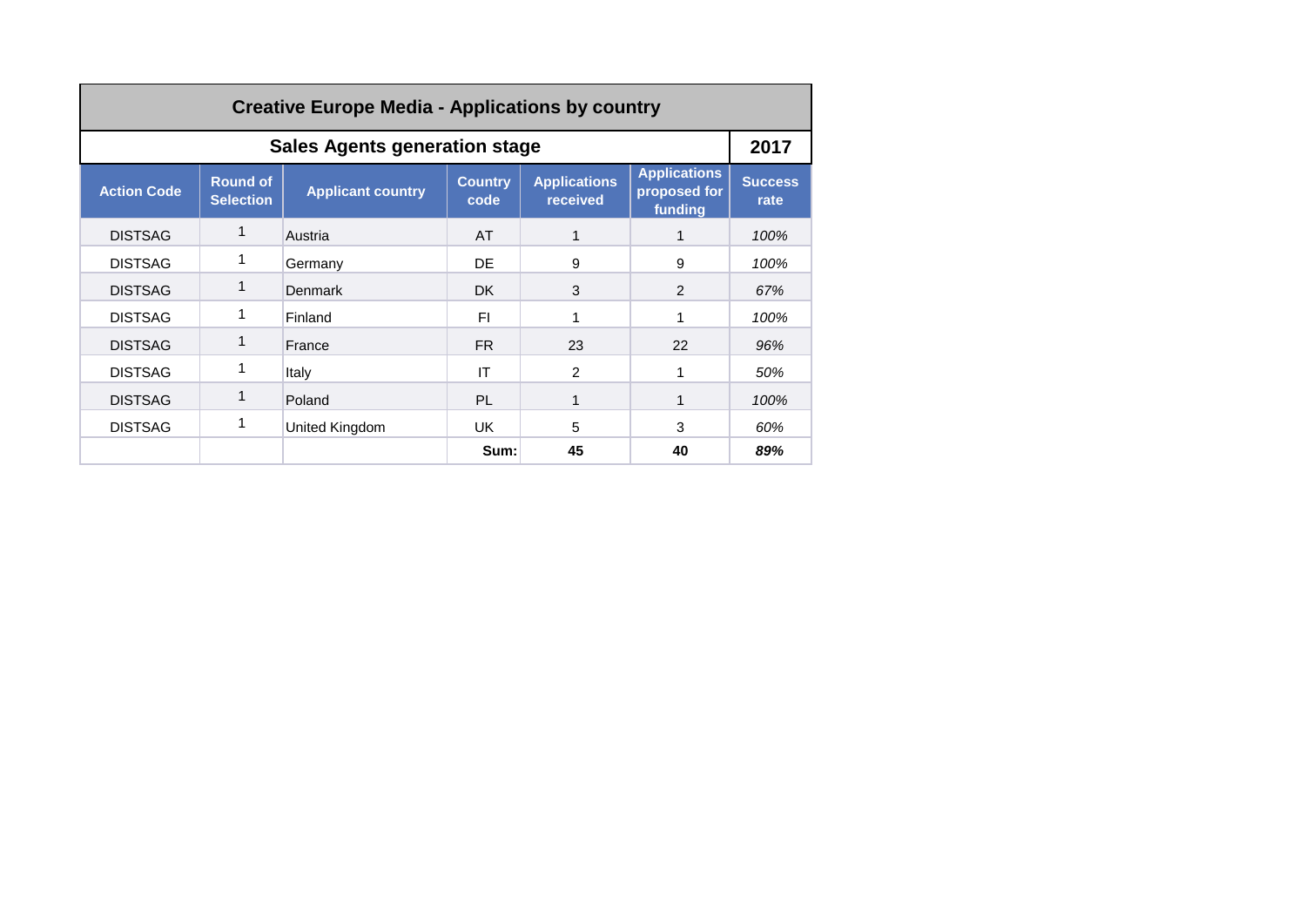| <b>Creative Europe Media - Applications by country</b> |                                     |                          |                        |                                 |                                                |                        |  |  |
|--------------------------------------------------------|-------------------------------------|--------------------------|------------------------|---------------------------------|------------------------------------------------|------------------------|--|--|
| <b>Sales Agents generation stage</b><br>2017           |                                     |                          |                        |                                 |                                                |                        |  |  |
| <b>Action Code</b>                                     | <b>Round of</b><br><b>Selection</b> | <b>Applicant country</b> | <b>Country</b><br>code | <b>Applications</b><br>received | <b>Applications</b><br>proposed for<br>funding | <b>Success</b><br>rate |  |  |
| <b>DISTSAG</b>                                         | 1                                   | Austria                  | AT                     |                                 |                                                | 100%                   |  |  |
| <b>DISTSAG</b>                                         |                                     | Germany                  | DE.                    | 9                               | 9                                              | 100%                   |  |  |
| <b>DISTSAG</b>                                         | 1                                   | <b>Denmark</b>           | DK.                    | 3                               | 2                                              | 67%                    |  |  |
| <b>DISTSAG</b>                                         |                                     | Finland                  | FI.                    |                                 |                                                | 100%                   |  |  |
| <b>DISTSAG</b>                                         | 1                                   | France                   | FR.                    | 23                              | 22                                             | 96%                    |  |  |
| <b>DISTSAG</b>                                         |                                     | Italy                    | IT                     | $\mathfrak{p}$                  |                                                | 50%                    |  |  |
| <b>DISTSAG</b>                                         |                                     | Poland                   | <b>PL</b>              | 1                               |                                                | 100%                   |  |  |
| <b>DISTSAG</b>                                         | 1                                   | United Kingdom           | UK.                    | 5                               | 3                                              | 60%                    |  |  |
|                                                        |                                     |                          | Sum:                   | 45                              | 40                                             | 89%                    |  |  |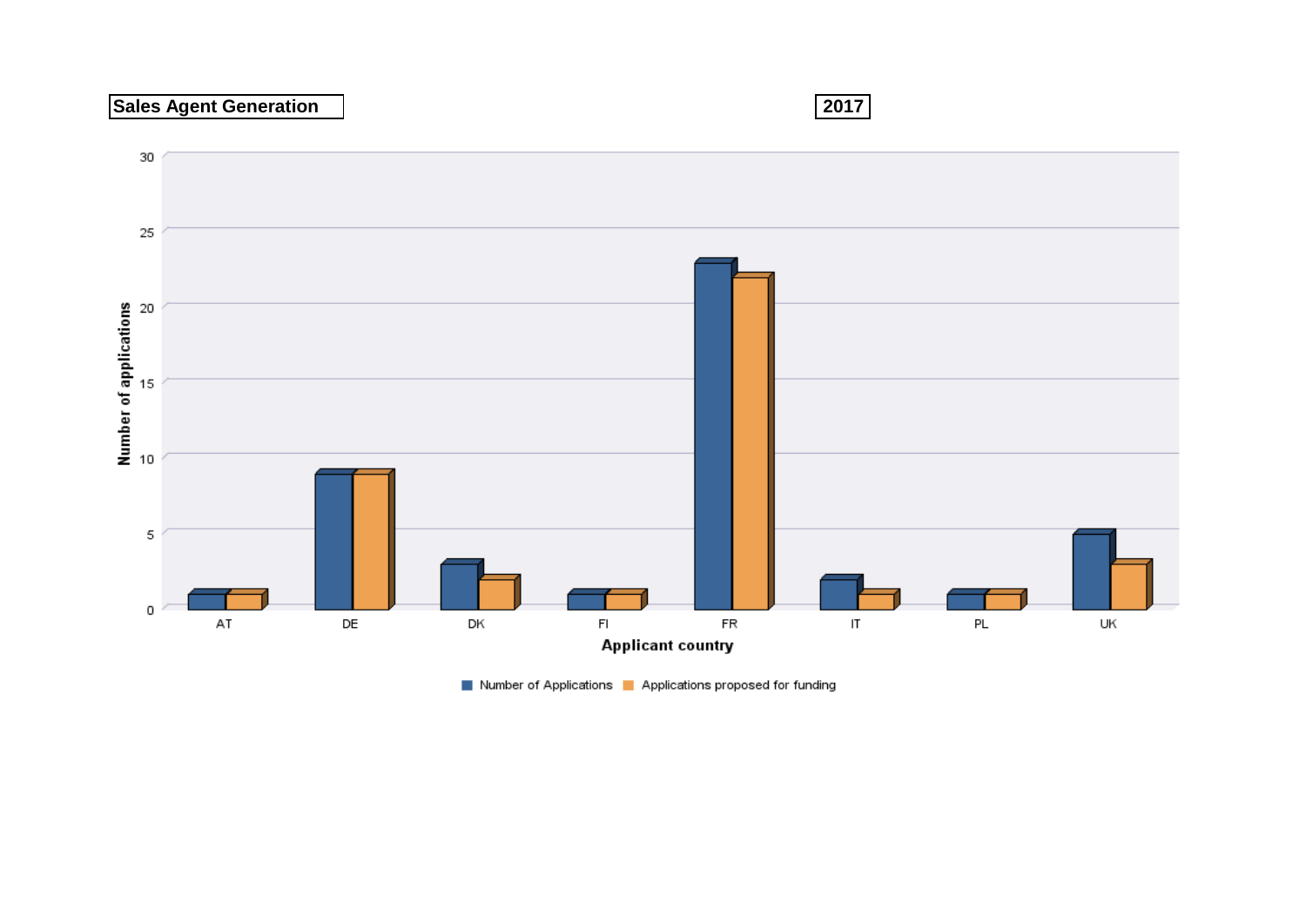## **Sales Agent Generation 2017**



Number of Applications | Applications proposed for funding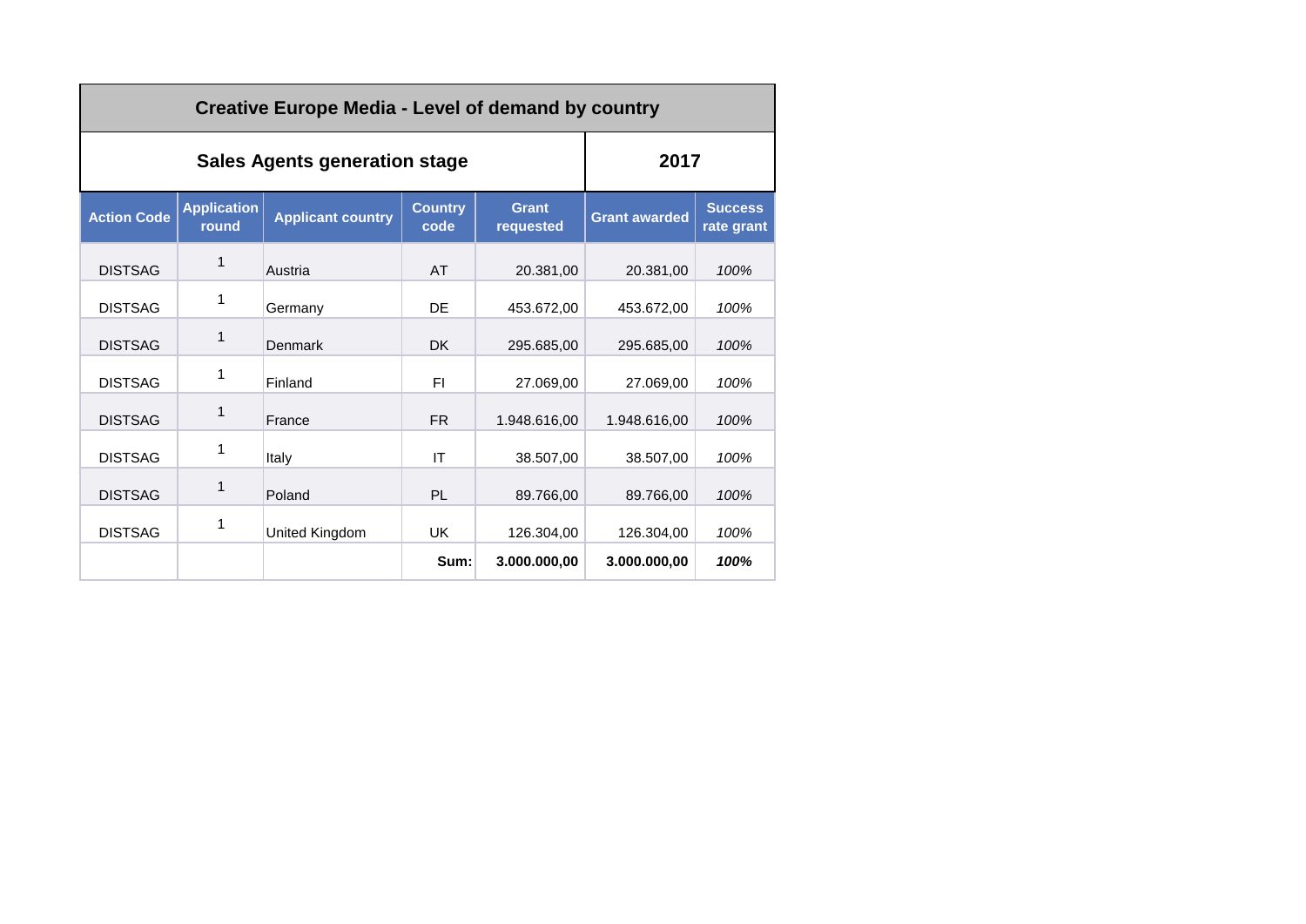| <b>Creative Europe Media - Level of demand by country</b> |                                      |                          |                        |                           |                      |                              |  |
|-----------------------------------------------------------|--------------------------------------|--------------------------|------------------------|---------------------------|----------------------|------------------------------|--|
|                                                           | <b>Sales Agents generation stage</b> | 2017                     |                        |                           |                      |                              |  |
| <b>Action Code</b>                                        | <b>Application</b><br>round          | <b>Applicant country</b> | <b>Country</b><br>code | <b>Grant</b><br>requested | <b>Grant awarded</b> | <b>Success</b><br>rate grant |  |
| <b>DISTSAG</b>                                            | 1                                    | Austria                  | AT                     | 20.381.00                 | 20.381.00            | 100%                         |  |
| <b>DISTSAG</b>                                            | 1                                    | Germany                  | DE                     | 453.672,00                | 453.672,00           | 100%                         |  |
| <b>DISTSAG</b>                                            | 1                                    | Denmark                  | <b>DK</b>              | 295.685,00                | 295.685,00           | 100%                         |  |
| <b>DISTSAG</b>                                            | 1                                    | Finland                  | FI.                    | 27.069,00                 | 27.069,00            | 100%                         |  |
| <b>DISTSAG</b>                                            | 1                                    | France                   | FR.                    | 1.948.616,00              | 1.948.616.00         | 100%                         |  |
| <b>DISTSAG</b>                                            | 1                                    | Italy                    | IT                     | 38.507,00                 | 38,507.00            | 100%                         |  |
| <b>DISTSAG</b>                                            | 1                                    | Poland                   | PL.                    | 89.766,00                 | 89.766,00            | 100%                         |  |
| <b>DISTSAG</b>                                            | 1                                    | United Kingdom           | <b>UK</b>              | 126.304,00                | 126.304,00           | 100%                         |  |
|                                                           |                                      |                          | Sum:                   | 3.000.000,00              | 3.000.000,00         | 100%                         |  |